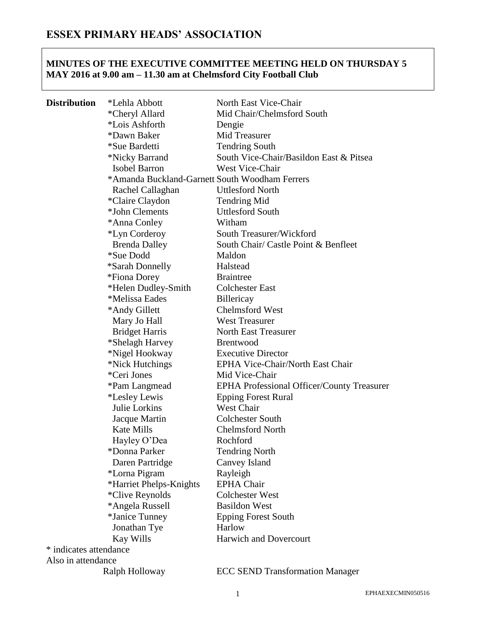## **MINUTES OF THE EXECUTIVE COMMITTEE MEETING HELD ON THURSDAY 5 MAY 2016 at 9.00 am – 11.30 am at Chelmsford City Football Club**

| Distribution           | *Lehla Abbott                                  | North East Vice-Chair                             |
|------------------------|------------------------------------------------|---------------------------------------------------|
|                        | *Cheryl Allard                                 | Mid Chair/Chelmsford South                        |
|                        | *Lois Ashforth                                 | Dengie                                            |
|                        | *Dawn Baker                                    | Mid Treasurer                                     |
|                        | *Sue Bardetti                                  | <b>Tendring South</b>                             |
|                        | *Nicky Barrand                                 | South Vice-Chair/Basildon East & Pitsea           |
|                        | Isobel Barron                                  | West Vice-Chair                                   |
|                        | *Amanda Buckland-Garnett South Woodham Ferrers |                                                   |
|                        | Rachel Callaghan                               | <b>Uttlesford North</b>                           |
|                        | *Claire Claydon                                | <b>Tendring Mid</b>                               |
|                        | *John Clements                                 | <b>Uttlesford South</b>                           |
|                        | *Anna Conley                                   | Witham                                            |
|                        | *Lyn Corderoy                                  | South Treasurer/Wickford                          |
|                        | <b>Brenda Dalley</b>                           | South Chair/ Castle Point & Benfleet              |
|                        | <i>*Sue Dodd</i>                               | Maldon                                            |
|                        | <i><b>*Sarah Donnelly</b></i>                  | Halstead                                          |
|                        | *Fiona Dorey                                   | <b>Braintree</b>                                  |
|                        | *Helen Dudley-Smith                            | <b>Colchester East</b>                            |
|                        | *Melissa Eades                                 | Billericay                                        |
|                        | *Andy Gillett                                  | <b>Chelmsford West</b>                            |
|                        | Mary Jo Hall                                   | <b>West Treasurer</b>                             |
|                        | <b>Bridget Harris</b>                          | <b>North East Treasurer</b>                       |
|                        | *Shelagh Harvey                                | <b>Brentwood</b>                                  |
|                        | *Nigel Hookway                                 | <b>Executive Director</b>                         |
|                        | *Nick Hutchings                                | EPHA Vice-Chair/North East Chair                  |
|                        | *Ceri Jones                                    | Mid Vice-Chair                                    |
|                        | *Pam Langmead                                  | <b>EPHA Professional Officer/County Treasurer</b> |
|                        | <i>*Lesley Lewis</i>                           | <b>Epping Forest Rural</b>                        |
|                        | Julie Lorkins                                  | <b>West Chair</b>                                 |
|                        | Jacque Martin                                  | <b>Colchester South</b>                           |
|                        | Kate Mills                                     | <b>Chelmsford North</b>                           |
|                        | Hayley O'Dea                                   | Rochford                                          |
|                        | *Donna Parker                                  | <b>Tendring North</b>                             |
|                        | Daren Partridge                                | Canvey Island                                     |
|                        | *Lorna Pigram                                  | Rayleigh                                          |
|                        | *Harriet Phelps-Knights                        | <b>EPHA Chair</b>                                 |
|                        | <i>*Clive Reynolds</i>                         | <b>Colchester West</b>                            |
|                        | *Angela Russell                                | <b>Basildon West</b>                              |
|                        | *Janice Tunney                                 | <b>Epping Forest South</b>                        |
|                        | Jonathan Tye                                   | Harlow                                            |
|                        | <b>Kay Wills</b>                               | <b>Harwich and Dovercourt</b>                     |
| * indicates attendance |                                                |                                                   |
| Also in attendance     |                                                |                                                   |
|                        | Ralph Holloway                                 | <b>ECC SEND Transformation Manager</b>            |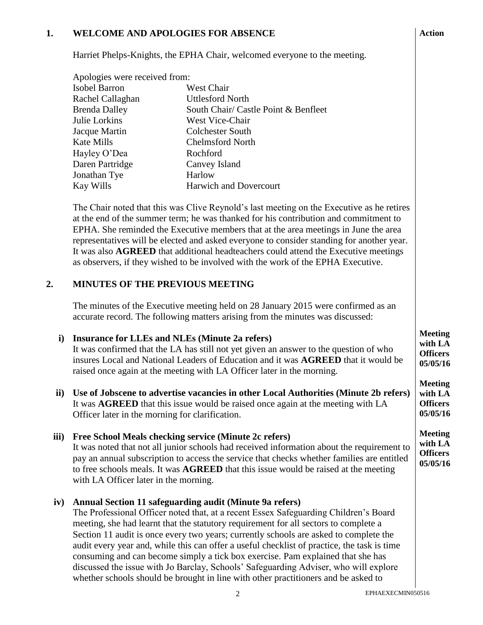#### **1. WELCOME AND APOLOGIES FOR ABSENCE**

Harriet Phelps-Knights, the EPHA Chair, welcomed everyone to the meeting.

| Apologies were received from: |                                      |  |
|-------------------------------|--------------------------------------|--|
| <b>Isobel Barron</b>          | West Chair                           |  |
| Rachel Callaghan              | <b>Uttlesford North</b>              |  |
| <b>Brenda Dalley</b>          | South Chair/ Castle Point & Benfleet |  |
| Julie Lorkins                 | West Vice-Chair                      |  |
| Jacque Martin                 | <b>Colchester South</b>              |  |
| <b>Kate Mills</b>             | <b>Chelmsford North</b>              |  |
| Hayley O'Dea                  | Rochford                             |  |
| Daren Partridge               | Canvey Island                        |  |
| Jonathan Tye                  | Harlow                               |  |
| Kay Wills                     | <b>Harwich and Dovercourt</b>        |  |

The Chair noted that this was Clive Reynold's last meeting on the Executive as he retires at the end of the summer term; he was thanked for his contribution and commitment to EPHA. She reminded the Executive members that at the area meetings in June the area representatives will be elected and asked everyone to consider standing for another year. It was also **AGREED** that additional headteachers could attend the Executive meetings as observers, if they wished to be involved with the work of the EPHA Executive.

#### **2. MINUTES OF THE PREVIOUS MEETING**

The minutes of the Executive meeting held on 28 January 2015 were confirmed as an accurate record. The following matters arising from the minutes was discussed:

#### **i) Insurance for LLEs and NLEs (Minute 2a refers)**

It was confirmed that the LA has still not yet given an answer to the question of who insures Local and National Leaders of Education and it was **AGREED** that it would be raised once again at the meeting with LA Officer later in the morning.

**ii) Use of Jobscene to advertise vacancies in other Local Authorities (Minute 2b refers)** It was **AGREED** that this issue would be raised once again at the meeting with LA Officer later in the morning for clarification.

#### **iii) Free School Meals checking service (Minute 2c refers)**

It was noted that not all junior schools had received information about the requirement to pay an annual subscription to access the service that checks whether families are entitled to free schools meals. It was **AGREED** that this issue would be raised at the meeting with LA Officer later in the morning.

#### **iv) Annual Section 11 safeguarding audit (Minute 9a refers)**

The Professional Officer noted that, at a recent Essex Safeguarding Children's Board meeting, she had learnt that the statutory requirement for all sectors to complete a Section 11 audit is once every two years; currently schools are asked to complete the audit every year and, while this can offer a useful checklist of practice, the task is time consuming and can become simply a tick box exercise. Pam explained that she has discussed the issue with Jo Barclay, Schools' Safeguarding Adviser, who will explore whether schools should be brought in line with other practitioners and be asked to

**05/05/16 Meeting with LA Officers**

**Meeting with LA Officers**

**Action**

**Meeting with LA Officers 05/05/16**

**05/05/16**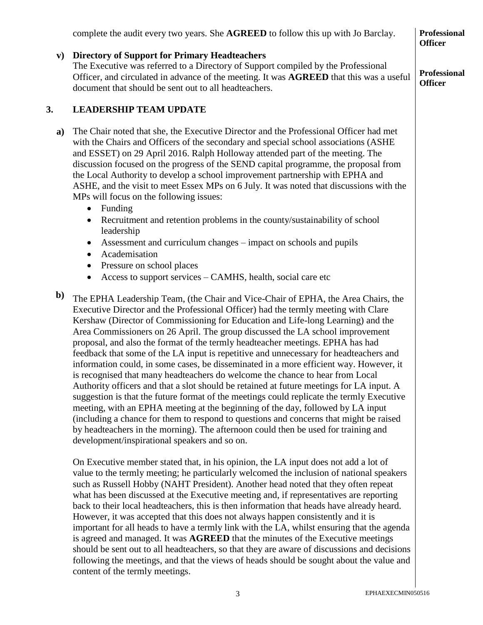|              | complete the audit every two years. She <b>AGREED</b> to follow this up with Jo Barclay.                                                                                                                                                                                                                                                                                                                                                                                                                                                                                                                                                                                                                                                                                                                                                                                                                                                                                                                                                                                                                                                                                                                        | <b>Professional</b><br><b>Officer</b> |
|--------------|-----------------------------------------------------------------------------------------------------------------------------------------------------------------------------------------------------------------------------------------------------------------------------------------------------------------------------------------------------------------------------------------------------------------------------------------------------------------------------------------------------------------------------------------------------------------------------------------------------------------------------------------------------------------------------------------------------------------------------------------------------------------------------------------------------------------------------------------------------------------------------------------------------------------------------------------------------------------------------------------------------------------------------------------------------------------------------------------------------------------------------------------------------------------------------------------------------------------|---------------------------------------|
| ${\bf v})$   | <b>Directory of Support for Primary Headteachers</b><br>The Executive was referred to a Directory of Support compiled by the Professional<br>Officer, and circulated in advance of the meeting. It was AGREED that this was a useful<br>document that should be sent out to all headteachers.                                                                                                                                                                                                                                                                                                                                                                                                                                                                                                                                                                                                                                                                                                                                                                                                                                                                                                                   | <b>Professional</b><br><b>Officer</b> |
| 3.           | <b>LEADERSHIP TEAM UPDATE</b>                                                                                                                                                                                                                                                                                                                                                                                                                                                                                                                                                                                                                                                                                                                                                                                                                                                                                                                                                                                                                                                                                                                                                                                   |                                       |
| a)           | The Chair noted that she, the Executive Director and the Professional Officer had met<br>with the Chairs and Officers of the secondary and special school associations (ASHE<br>and ESSET) on 29 April 2016. Ralph Holloway attended part of the meeting. The<br>discussion focused on the progress of the SEND capital programme, the proposal from<br>the Local Authority to develop a school improvement partnership with EPHA and<br>ASHE, and the visit to meet Essex MPs on 6 July. It was noted that discussions with the<br>MPs will focus on the following issues:<br>Funding<br>$\bullet$                                                                                                                                                                                                                                                                                                                                                                                                                                                                                                                                                                                                             |                                       |
|              | Recruitment and retention problems in the county/sustainability of school<br>$\bullet$<br>leadership                                                                                                                                                                                                                                                                                                                                                                                                                                                                                                                                                                                                                                                                                                                                                                                                                                                                                                                                                                                                                                                                                                            |                                       |
|              | Assessment and curriculum changes – impact on schools and pupils<br>Academisation<br>$\bullet$                                                                                                                                                                                                                                                                                                                                                                                                                                                                                                                                                                                                                                                                                                                                                                                                                                                                                                                                                                                                                                                                                                                  |                                       |
|              | Pressure on school places<br>Access to support services – CAMHS, health, social care etc                                                                                                                                                                                                                                                                                                                                                                                                                                                                                                                                                                                                                                                                                                                                                                                                                                                                                                                                                                                                                                                                                                                        |                                       |
| $\mathbf{b}$ | The EPHA Leadership Team, (the Chair and Vice-Chair of EPHA, the Area Chairs, the<br>Executive Director and the Professional Officer) had the termly meeting with Clare<br>Kershaw (Director of Commissioning for Education and Life-long Learning) and the<br>Area Commissioners on 26 April. The group discussed the LA school improvement<br>proposal, and also the format of the termly headteacher meetings. EPHA has had<br>feedback that some of the LA input is repetitive and unnecessary for headteachers and<br>information could, in some cases, be disseminated in a more efficient way. However, it<br>is recognised that many headteachers do welcome the chance to hear from Local<br>Authority officers and that a slot should be retained at future meetings for LA input. A<br>suggestion is that the future format of the meetings could replicate the termly Executive<br>meeting, with an EPHA meeting at the beginning of the day, followed by LA input<br>(including a chance for them to respond to questions and concerns that might be raised<br>by headteachers in the morning). The afternoon could then be used for training and<br>development/inspirational speakers and so on. |                                       |
|              | On Executive member stated that, in his opinion, the LA input does not add a lot of<br>value to the termly meeting; he particularly welcomed the inclusion of national speakers<br>such as Russell Hobby (NAHT President). Another head noted that they often repeat<br>what has been discussed at the Executive meeting and, if representatives are reporting<br>back to their local headteachers, this is then information that heads have already heard.<br>However, it was accepted that this does not always happen consistently and it is<br>important for all heads to have a termly link with the LA, whilst ensuring that the agenda<br>is agreed and managed. It was AGREED that the minutes of the Executive meetings<br>should be sent out to all headteachers, so that they are aware of discussions and decisions<br>following the meetings, and that the views of heads should be sought about the value and<br>content of the termly meetings.                                                                                                                                                                                                                                                  |                                       |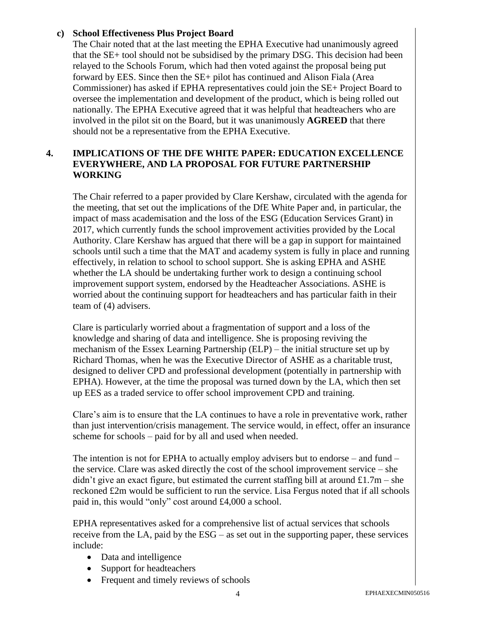#### **c) School Effectiveness Plus Project Board**

The Chair noted that at the last meeting the EPHA Executive had unanimously agreed that the SE+ tool should not be subsidised by the primary DSG. This decision had been relayed to the Schools Forum, which had then voted against the proposal being put forward by EES. Since then the SE+ pilot has continued and Alison Fiala (Area Commissioner) has asked if EPHA representatives could join the SE+ Project Board to oversee the implementation and development of the product, which is being rolled out nationally. The EPHA Executive agreed that it was helpful that headteachers who are involved in the pilot sit on the Board, but it was unanimously **AGREED** that there should not be a representative from the EPHA Executive.

## **4. IMPLICATIONS OF THE DFE WHITE PAPER: EDUCATION EXCELLENCE EVERYWHERE, AND LA PROPOSAL FOR FUTURE PARTNERSHIP WORKING**

The Chair referred to a paper provided by Clare Kershaw, circulated with the agenda for the meeting, that set out the implications of the DfE White Paper and, in particular, the impact of mass academisation and the loss of the ESG (Education Services Grant) in 2017, which currently funds the school improvement activities provided by the Local Authority. Clare Kershaw has argued that there will be a gap in support for maintained schools until such a time that the MAT and academy system is fully in place and running effectively, in relation to school to school support. She is asking EPHA and ASHE whether the LA should be undertaking further work to design a continuing school improvement support system, endorsed by the Headteacher Associations. ASHE is worried about the continuing support for headteachers and has particular faith in their team of (4) advisers.

Clare is particularly worried about a fragmentation of support and a loss of the knowledge and sharing of data and intelligence. She is proposing reviving the mechanism of the Essex Learning Partnership (ELP) – the initial structure set up by Richard Thomas, when he was the Executive Director of ASHE as a charitable trust, designed to deliver CPD and professional development (potentially in partnership with EPHA). However, at the time the proposal was turned down by the LA, which then set up EES as a traded service to offer school improvement CPD and training.

Clare's aim is to ensure that the LA continues to have a role in preventative work, rather than just intervention/crisis management. The service would, in effect, offer an insurance scheme for schools – paid for by all and used when needed.

The intention is not for EPHA to actually employ advisers but to endorse – and fund – the service. Clare was asked directly the cost of the school improvement service – she didn't give an exact figure, but estimated the current staffing bill at around £1.7m – she reckoned £2m would be sufficient to run the service. Lisa Fergus noted that if all schools paid in, this would "only" cost around £4,000 a school.

EPHA representatives asked for a comprehensive list of actual services that schools receive from the LA, paid by the ESG – as set out in the supporting paper, these services include:

- Data and intelligence
- Support for headteachers
- Frequent and timely reviews of schools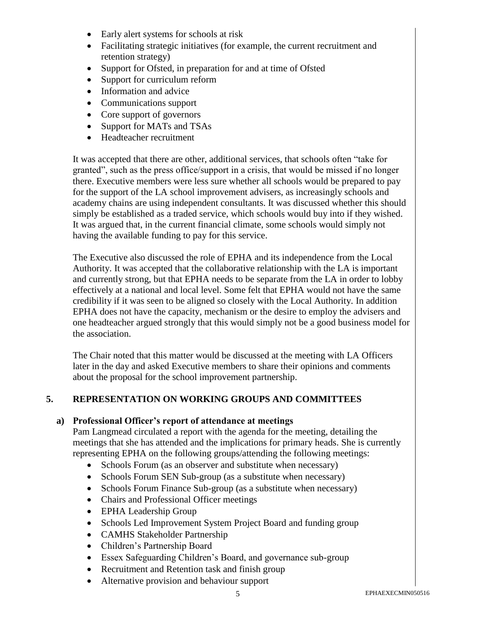- Early alert systems for schools at risk
- Facilitating strategic initiatives (for example, the current recruitment and retention strategy)
- Support for Ofsted, in preparation for and at time of Ofsted
- Support for curriculum reform
- Information and advice
- Communications support
- Core support of governors
- Support for MATs and TSAs
- Headteacher recruitment

It was accepted that there are other, additional services, that schools often "take for granted", such as the press office/support in a crisis, that would be missed if no longer there. Executive members were less sure whether all schools would be prepared to pay for the support of the LA school improvement advisers, as increasingly schools and academy chains are using independent consultants. It was discussed whether this should simply be established as a traded service, which schools would buy into if they wished. It was argued that, in the current financial climate, some schools would simply not having the available funding to pay for this service.

The Executive also discussed the role of EPHA and its independence from the Local Authority. It was accepted that the collaborative relationship with the LA is important and currently strong, but that EPHA needs to be separate from the LA in order to lobby effectively at a national and local level. Some felt that EPHA would not have the same credibility if it was seen to be aligned so closely with the Local Authority. In addition EPHA does not have the capacity, mechanism or the desire to employ the advisers and one headteacher argued strongly that this would simply not be a good business model for the association.

The Chair noted that this matter would be discussed at the meeting with LA Officers later in the day and asked Executive members to share their opinions and comments about the proposal for the school improvement partnership.

#### **5. REPRESENTATION ON WORKING GROUPS AND COMMITTEES**

#### **a) Professional Officer's report of attendance at meetings**

Pam Langmead circulated a report with the agenda for the meeting, detailing the meetings that she has attended and the implications for primary heads. She is currently representing EPHA on the following groups/attending the following meetings:

- Schools Forum (as an observer and substitute when necessary)
- Schools Forum SEN Sub-group (as a substitute when necessary)
- Schools Forum Finance Sub-group (as a substitute when necessary)
- Chairs and Professional Officer meetings
- EPHA Leadership Group
- Schools Led Improvement System Project Board and funding group
- CAMHS Stakeholder Partnership
- Children's Partnership Board
- Essex Safeguarding Children's Board, and governance sub-group
- Recruitment and Retention task and finish group
- Alternative provision and behaviour support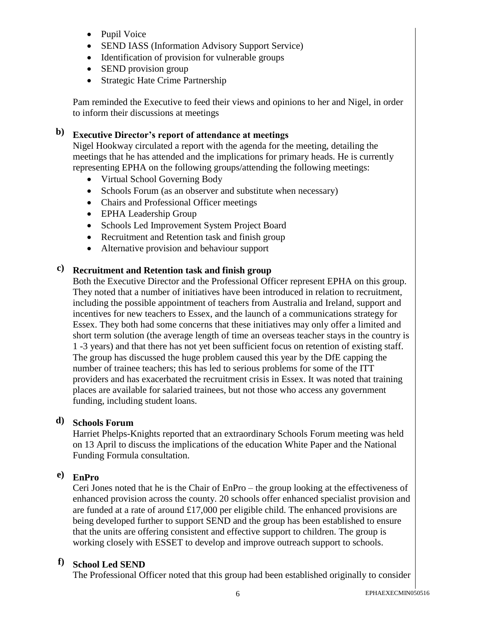- Pupil Voice
- SEND IASS (Information Advisory Support Service)
- Identification of provision for vulnerable groups
- SEND provision group
- Strategic Hate Crime Partnership

Pam reminded the Executive to feed their views and opinions to her and Nigel, in order to inform their discussions at meetings

# **b) Executive Director's report of attendance at meetings**

Nigel Hookway circulated a report with the agenda for the meeting, detailing the meetings that he has attended and the implications for primary heads. He is currently representing EPHA on the following groups/attending the following meetings:

- Virtual School Governing Body
- Schools Forum (as an observer and substitute when necessary)
- Chairs and Professional Officer meetings
- EPHA Leadership Group
- Schools Led Improvement System Project Board
- Recruitment and Retention task and finish group
- Alternative provision and behaviour support

# **c) Recruitment and Retention task and finish group**

Both the Executive Director and the Professional Officer represent EPHA on this group. They noted that a number of initiatives have been introduced in relation to recruitment, including the possible appointment of teachers from Australia and Ireland, support and incentives for new teachers to Essex, and the launch of a communications strategy for Essex. They both had some concerns that these initiatives may only offer a limited and short term solution (the average length of time an overseas teacher stays in the country is 1 -3 years) and that there has not yet been sufficient focus on retention of existing staff. The group has discussed the huge problem caused this year by the DfE capping the number of trainee teachers; this has led to serious problems for some of the ITT providers and has exacerbated the recruitment crisis in Essex. It was noted that training places are available for salaried trainees, but not those who access any government funding, including student loans.

## **d) Schools Forum**

Harriet Phelps-Knights reported that an extraordinary Schools Forum meeting was held on 13 April to discuss the implications of the education White Paper and the National Funding Formula consultation.

## **e) EnPro**

Ceri Jones noted that he is the Chair of EnPro – the group looking at the effectiveness of enhanced provision across the county. 20 schools offer enhanced specialist provision and are funded at a rate of around £17,000 per eligible child. The enhanced provisions are being developed further to support SEND and the group has been established to ensure that the units are offering consistent and effective support to children. The group is working closely with ESSET to develop and improve outreach support to schools.

## **f) School Led SEND**

The Professional Officer noted that this group had been established originally to consider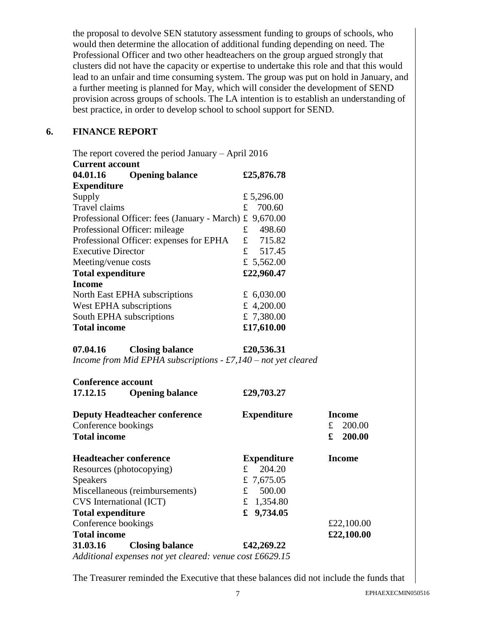the proposal to devolve SEN statutory assessment funding to groups of schools, who would then determine the allocation of additional funding depending on need. The Professional Officer and two other headteachers on the group argued strongly that clusters did not have the capacity or expertise to undertake this role and that this would lead to an unfair and time consuming system. The group was put on hold in January, and a further meeting is planned for May, which will consider the development of SEND provision across groups of schools. The LA intention is to establish an understanding of best practice, in order to develop school to school support for SEND.

### **6. FINANCE REPORT**

| The report covered the period January $-$ April 2016 |    |              |  |
|------------------------------------------------------|----|--------------|--|
| <b>Current account</b>                               |    |              |  |
| <b>Opening balance</b><br>04.01.16                   |    | £25,876.78   |  |
| <b>Expenditure</b>                                   |    |              |  |
| Supply                                               |    | £ 5,296.00   |  |
| Travel claims                                        | £. | 700.60       |  |
| Professional Officer: fees (January - March)         | £  | 9,670.00     |  |
| Professional Officer: mileage                        | £. | 498.60       |  |
| Professional Officer: expenses for EPHA              |    | £ 715.82     |  |
| <b>Executive Director</b>                            |    | £ 517.45     |  |
| Meeting/venue costs                                  |    | £ 5,562.00   |  |
| <b>Total expenditure</b>                             |    | £22,960.47   |  |
| <b>Income</b>                                        |    |              |  |
| North East EPHA subscriptions                        |    | £ $6,030.00$ |  |
| West EPHA subscriptions                              |    | £ 4,200.00   |  |
| £ 7,380.00<br>South EPHA subscriptions               |    |              |  |
| £17,610.00<br><b>Total income</b>                    |    |              |  |

| 07.04.16 | <b>Closing balance</b> | £20,536.31                                                        |
|----------|------------------------|-------------------------------------------------------------------|
|          |                        | Income from Mid EPHA subscriptions $- f7$ , 140 – not yet cleared |

| <b>Conference account</b>            |                                                          |                    |               |
|--------------------------------------|----------------------------------------------------------|--------------------|---------------|
| 17.12.15                             | <b>Opening balance</b>                                   | £29,703.27         |               |
| <b>Deputy Headteacher conference</b> |                                                          | <b>Expenditure</b> | Income        |
| Conference bookings                  |                                                          |                    | 200.00<br>£   |
| <b>Total income</b>                  |                                                          |                    | 200.00<br>£   |
| <b>Headteacher conference</b>        |                                                          | <b>Expenditure</b> | <b>Income</b> |
| Resources (photocopying)             |                                                          | 204.20<br>£        |               |
| <b>Speakers</b>                      |                                                          | £ 7,675.05         |               |
| Miscellaneous (reimbursements)       |                                                          | 500.00<br>£        |               |
| CVS International (ICT)              |                                                          | £ 1,354.80         |               |
| <b>Total expenditure</b>             |                                                          | £ $9,734.05$       |               |
| Conference bookings                  |                                                          |                    | £22,100.00    |
| <b>Total income</b>                  |                                                          |                    | £22,100.00    |
| 31.03.16                             | <b>Closing balance</b>                                   | £42,269.22         |               |
|                                      | Additional expenses not yet cleared: venue cost £6629.15 |                    |               |

The Treasurer reminded the Executive that these balances did not include the funds that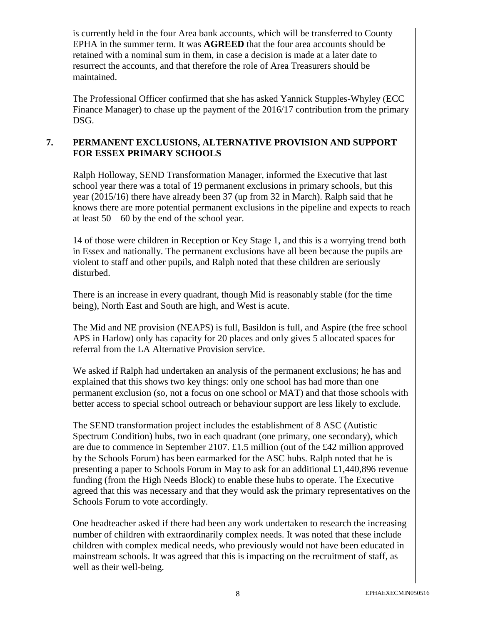is currently held in the four Area bank accounts, which will be transferred to County EPHA in the summer term. It was **AGREED** that the four area accounts should be retained with a nominal sum in them, in case a decision is made at a later date to resurrect the accounts, and that therefore the role of Area Treasurers should be maintained.

The Professional Officer confirmed that she has asked Yannick Stupples-Whyley (ECC Finance Manager) to chase up the payment of the 2016/17 contribution from the primary DSG.

### **7. PERMANENT EXCLUSIONS, ALTERNATIVE PROVISION AND SUPPORT FOR ESSEX PRIMARY SCHOOLS**

Ralph Holloway, SEND Transformation Manager, informed the Executive that last school year there was a total of 19 permanent exclusions in primary schools, but this year (2015/16) there have already been 37 (up from 32 in March). Ralph said that he knows there are more potential permanent exclusions in the pipeline and expects to reach at least  $50 - 60$  by the end of the school year.

14 of those were children in Reception or Key Stage 1, and this is a worrying trend both in Essex and nationally. The permanent exclusions have all been because the pupils are violent to staff and other pupils, and Ralph noted that these children are seriously disturbed.

There is an increase in every quadrant, though Mid is reasonably stable (for the time being), North East and South are high, and West is acute.

The Mid and NE provision (NEAPS) is full, Basildon is full, and Aspire (the free school APS in Harlow) only has capacity for 20 places and only gives 5 allocated spaces for referral from the LA Alternative Provision service.

We asked if Ralph had undertaken an analysis of the permanent exclusions; he has and explained that this shows two key things: only one school has had more than one permanent exclusion (so, not a focus on one school or MAT) and that those schools with better access to special school outreach or behaviour support are less likely to exclude*.*

The SEND transformation project includes the establishment of 8 ASC (Autistic Spectrum Condition) hubs, two in each quadrant (one primary, one secondary), which are due to commence in September 2107. £1.5 million (out of the £42 million approved by the Schools Forum) has been earmarked for the ASC hubs. Ralph noted that he is presenting a paper to Schools Forum in May to ask for an additional £1,440,896 revenue funding (from the High Needs Block) to enable these hubs to operate. The Executive agreed that this was necessary and that they would ask the primary representatives on the Schools Forum to vote accordingly.

One headteacher asked if there had been any work undertaken to research the increasing number of children with extraordinarily complex needs. It was noted that these include children with complex medical needs, who previously would not have been educated in mainstream schools. It was agreed that this is impacting on the recruitment of staff, as well as their well-being.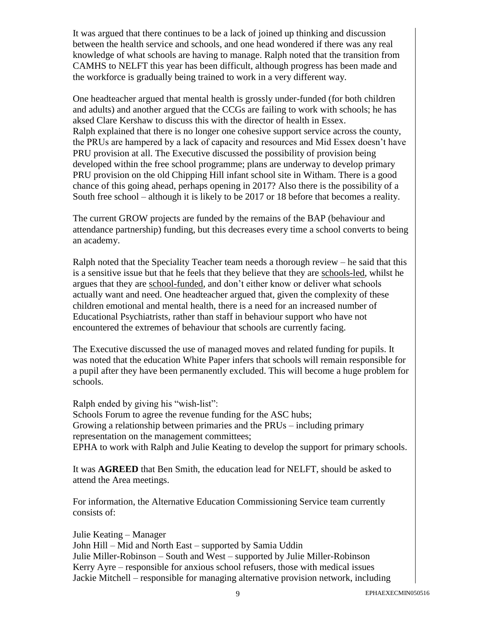It was argued that there continues to be a lack of joined up thinking and discussion between the health service and schools, and one head wondered if there was any real knowledge of what schools are having to manage. Ralph noted that the transition from CAMHS to NELFT this year has been difficult, although progress has been made and the workforce is gradually being trained to work in a very different way.

One headteacher argued that mental health is grossly under-funded (for both children and adults) and another argued that the CCGs are failing to work with schools; he has aksed Clare Kershaw to discuss this with the director of health in Essex. Ralph explained that there is no longer one cohesive support service across the county, the PRUs are hampered by a lack of capacity and resources and Mid Essex doesn't have PRU provision at all. The Executive discussed the possibility of provision being developed within the free school programme; plans are underway to develop primary PRU provision on the old Chipping Hill infant school site in Witham. There is a good chance of this going ahead, perhaps opening in 2017? Also there is the possibility of a South free school – although it is likely to be 2017 or 18 before that becomes a reality.

The current GROW projects are funded by the remains of the BAP (behaviour and attendance partnership) funding, but this decreases every time a school converts to being an academy.

Ralph noted that the Speciality Teacher team needs a thorough review – he said that this is a sensitive issue but that he feels that they believe that they are schools-led, whilst he argues that they are school-funded, and don't either know or deliver what schools actually want and need. One headteacher argued that, given the complexity of these children emotional and mental health, there is a need for an increased number of Educational Psychiatrists, rather than staff in behaviour support who have not encountered the extremes of behaviour that schools are currently facing.

The Executive discussed the use of managed moves and related funding for pupils. It was noted that the education White Paper infers that schools will remain responsible for a pupil after they have been permanently excluded. This will become a huge problem for schools.

Ralph ended by giving his "wish-list": Schools Forum to agree the revenue funding for the ASC hubs; Growing a relationship between primaries and the PRUs – including primary representation on the management committees; EPHA to work with Ralph and Julie Keating to develop the support for primary schools.

It was **AGREED** that Ben Smith, the education lead for NELFT, should be asked to attend the Area meetings.

For information, the Alternative Education Commissioning Service team currently consists of:

Julie Keating – Manager John Hill – Mid and North East – supported by Samia Uddin Julie Miller-Robinson – South and West – supported by Julie Miller-Robinson Kerry Ayre – responsible for anxious school refusers, those with medical issues Jackie Mitchell – responsible for managing alternative provision network, including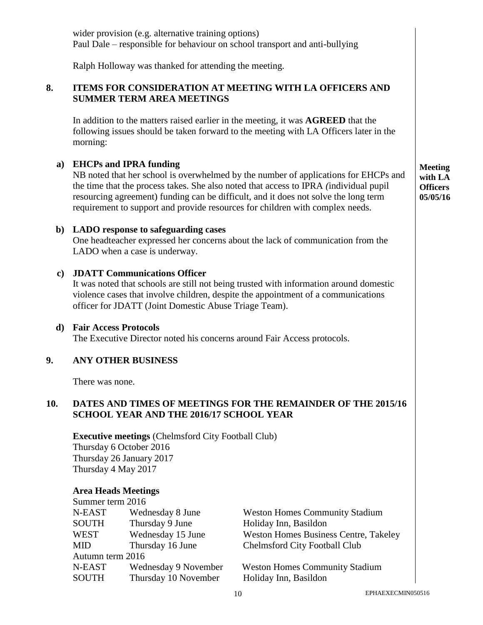| ITEMS FOR CONSIDERATION AT MEETING WITH LA OFFICERS AND<br><b>SUMMER TERM AREA MEETINGS</b>                                                                                                                                                                                                                                                                                                 |                                              |                                                                                                                                                                                                                                                                                                                |                                                                                                                                                                                                                                                                                                                                                                                                                                                                                                                                                                                                                                                                                                                                                                                                                                                                                                                                                     |
|---------------------------------------------------------------------------------------------------------------------------------------------------------------------------------------------------------------------------------------------------------------------------------------------------------------------------------------------------------------------------------------------|----------------------------------------------|----------------------------------------------------------------------------------------------------------------------------------------------------------------------------------------------------------------------------------------------------------------------------------------------------------------|-----------------------------------------------------------------------------------------------------------------------------------------------------------------------------------------------------------------------------------------------------------------------------------------------------------------------------------------------------------------------------------------------------------------------------------------------------------------------------------------------------------------------------------------------------------------------------------------------------------------------------------------------------------------------------------------------------------------------------------------------------------------------------------------------------------------------------------------------------------------------------------------------------------------------------------------------------|
| morning:                                                                                                                                                                                                                                                                                                                                                                                    |                                              |                                                                                                                                                                                                                                                                                                                |                                                                                                                                                                                                                                                                                                                                                                                                                                                                                                                                                                                                                                                                                                                                                                                                                                                                                                                                                     |
| <b>EHCPs and IPRA funding</b><br>a)<br>NB noted that her school is overwhelmed by the number of applications for EHCPs and<br>the time that the process takes. She also noted that access to IPRA (individual pupil<br>resourcing agreement) funding can be difficult, and it does not solve the long term<br>requirement to support and provide resources for children with complex needs. |                                              |                                                                                                                                                                                                                                                                                                                | <b>Meeting</b><br>with LA<br><b>Officers</b><br>05/05/16                                                                                                                                                                                                                                                                                                                                                                                                                                                                                                                                                                                                                                                                                                                                                                                                                                                                                            |
| b) LADO response to safeguarding cases<br>One headteacher expressed her concerns about the lack of communication from the<br>LADO when a case is underway.                                                                                                                                                                                                                                  |                                              |                                                                                                                                                                                                                                                                                                                |                                                                                                                                                                                                                                                                                                                                                                                                                                                                                                                                                                                                                                                                                                                                                                                                                                                                                                                                                     |
|                                                                                                                                                                                                                                                                                                                                                                                             |                                              |                                                                                                                                                                                                                                                                                                                |                                                                                                                                                                                                                                                                                                                                                                                                                                                                                                                                                                                                                                                                                                                                                                                                                                                                                                                                                     |
|                                                                                                                                                                                                                                                                                                                                                                                             |                                              |                                                                                                                                                                                                                                                                                                                |                                                                                                                                                                                                                                                                                                                                                                                                                                                                                                                                                                                                                                                                                                                                                                                                                                                                                                                                                     |
|                                                                                                                                                                                                                                                                                                                                                                                             |                                              |                                                                                                                                                                                                                                                                                                                |                                                                                                                                                                                                                                                                                                                                                                                                                                                                                                                                                                                                                                                                                                                                                                                                                                                                                                                                                     |
|                                                                                                                                                                                                                                                                                                                                                                                             |                                              |                                                                                                                                                                                                                                                                                                                |                                                                                                                                                                                                                                                                                                                                                                                                                                                                                                                                                                                                                                                                                                                                                                                                                                                                                                                                                     |
|                                                                                                                                                                                                                                                                                                                                                                                             |                                              |                                                                                                                                                                                                                                                                                                                |                                                                                                                                                                                                                                                                                                                                                                                                                                                                                                                                                                                                                                                                                                                                                                                                                                                                                                                                                     |
|                                                                                                                                                                                                                                                                                                                                                                                             |                                              |                                                                                                                                                                                                                                                                                                                |                                                                                                                                                                                                                                                                                                                                                                                                                                                                                                                                                                                                                                                                                                                                                                                                                                                                                                                                                     |
|                                                                                                                                                                                                                                                                                                                                                                                             |                                              |                                                                                                                                                                                                                                                                                                                |                                                                                                                                                                                                                                                                                                                                                                                                                                                                                                                                                                                                                                                                                                                                                                                                                                                                                                                                                     |
| N-EAST                                                                                                                                                                                                                                                                                                                                                                                      |                                              |                                                                                                                                                                                                                                                                                                                |                                                                                                                                                                                                                                                                                                                                                                                                                                                                                                                                                                                                                                                                                                                                                                                                                                                                                                                                                     |
| <b>SOUTH</b>                                                                                                                                                                                                                                                                                                                                                                                |                                              |                                                                                                                                                                                                                                                                                                                |                                                                                                                                                                                                                                                                                                                                                                                                                                                                                                                                                                                                                                                                                                                                                                                                                                                                                                                                                     |
| <b>WEST</b>                                                                                                                                                                                                                                                                                                                                                                                 | Wednesday 15 June                            | <b>Weston Homes Business Centre, Takeley</b>                                                                                                                                                                                                                                                                   |                                                                                                                                                                                                                                                                                                                                                                                                                                                                                                                                                                                                                                                                                                                                                                                                                                                                                                                                                     |
| <b>MID</b>                                                                                                                                                                                                                                                                                                                                                                                  | Thursday 16 June                             | Chelmsford City Football Club                                                                                                                                                                                                                                                                                  |                                                                                                                                                                                                                                                                                                                                                                                                                                                                                                                                                                                                                                                                                                                                                                                                                                                                                                                                                     |
|                                                                                                                                                                                                                                                                                                                                                                                             |                                              |                                                                                                                                                                                                                                                                                                                |                                                                                                                                                                                                                                                                                                                                                                                                                                                                                                                                                                                                                                                                                                                                                                                                                                                                                                                                                     |
| N-EAST<br><b>SOUTH</b>                                                                                                                                                                                                                                                                                                                                                                      | Wednesday 9 November<br>Thursday 10 November | <b>Weston Homes Community Stadium</b><br>Holiday Inn, Basildon                                                                                                                                                                                                                                                 |                                                                                                                                                                                                                                                                                                                                                                                                                                                                                                                                                                                                                                                                                                                                                                                                                                                                                                                                                     |
|                                                                                                                                                                                                                                                                                                                                                                                             |                                              | <b>JDATT Communications Officer</b><br><b>Fair Access Protocols</b><br><b>ANY OTHER BUSINESS</b><br>There was none.<br>Thursday 6 October 2016<br>Thursday 26 January 2017<br>Thursday 4 May 2017<br><b>Area Heads Meetings</b><br>Summer term 2016<br>Wednesday 8 June<br>Thursday 9 June<br>Autumn term 2016 | wider provision (e.g. alternative training options)<br>Paul Dale – responsible for behaviour on school transport and anti-bullying<br>Ralph Holloway was thanked for attending the meeting.<br>In addition to the matters raised earlier in the meeting, it was <b>AGREED</b> that the<br>following issues should be taken forward to the meeting with LA Officers later in the<br>It was noted that schools are still not being trusted with information around domestic<br>violence cases that involve children, despite the appointment of a communications<br>officer for JDATT (Joint Domestic Abuse Triage Team).<br>The Executive Director noted his concerns around Fair Access protocols.<br><b>DATES AND TIMES OF MEETINGS FOR THE REMAINDER OF THE 2015/16</b><br>SCHOOL YEAR AND THE 2016/17 SCHOOL YEAR<br><b>Executive meetings (Chelmsford City Football Club)</b><br><b>Weston Homes Community Stadium</b><br>Holiday Inn, Basildon |